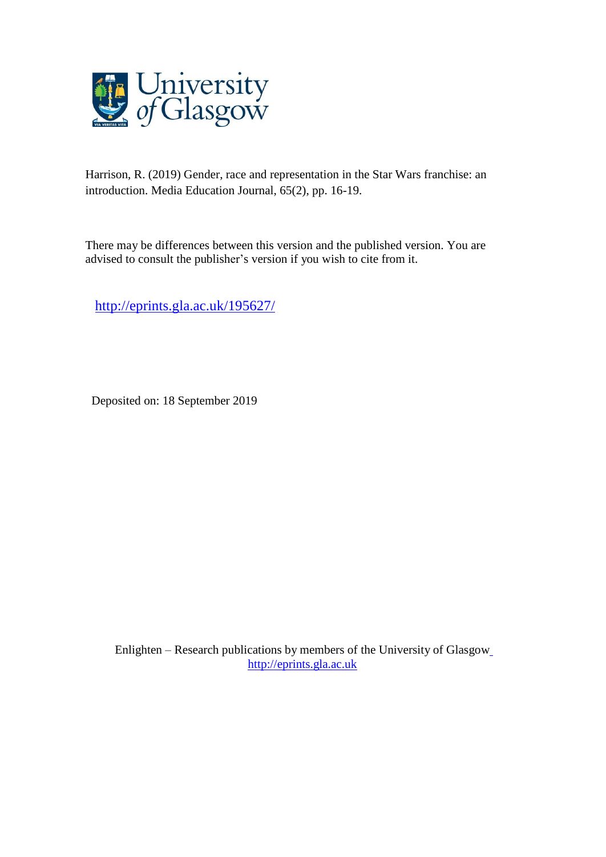

Harrison, R. (2019) Gender, race and representation in the Star Wars franchise: an introduction. Media Education Journal, 65(2), pp. 16-19.

There may be differences between this version and the published version. You are advised to consult the publisher's version if you wish to cite from it.

<http://eprints.gla.ac.uk/195627/>

Deposited on: 18 September 2019

Enlighten – Research publications by members of the University of Glasgo[w](http://eprints.gla.ac.uk/) [http://eprints.gla.ac.uk](http://eprints.gla.ac.uk/)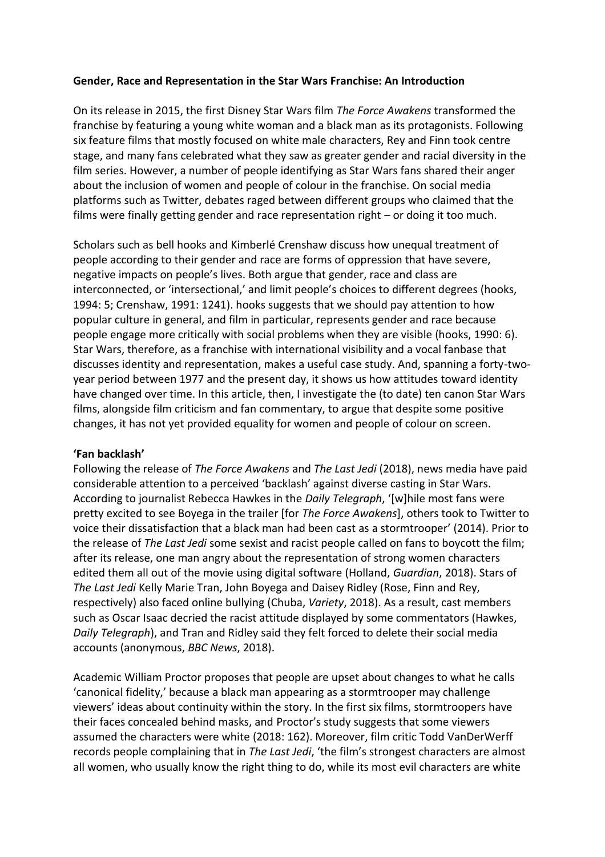# **Gender, Race and Representation in the Star Wars Franchise: An Introduction**

On its release in 2015, the first Disney Star Wars film *The Force Awakens* transformed the franchise by featuring a young white woman and a black man as its protagonists. Following six feature films that mostly focused on white male characters, Rey and Finn took centre stage, and many fans celebrated what they saw as greater gender and racial diversity in the film series. However, a number of people identifying as Star Wars fans shared their anger about the inclusion of women and people of colour in the franchise. On social media platforms such as Twitter, debates raged between different groups who claimed that the films were finally getting gender and race representation right – or doing it too much.

Scholars such as bell hooks and Kimberlé Crenshaw discuss how unequal treatment of people according to their gender and race are forms of oppression that have severe, negative impacts on people's lives. Both argue that gender, race and class are interconnected, or 'intersectional,' and limit people's choices to different degrees (hooks, 1994: 5; Crenshaw, 1991: 1241). hooks suggests that we should pay attention to how popular culture in general, and film in particular, represents gender and race because people engage more critically with social problems when they are visible (hooks, 1990: 6). Star Wars, therefore, as a franchise with international visibility and a vocal fanbase that discusses identity and representation, makes a useful case study. And, spanning a forty-twoyear period between 1977 and the present day, it shows us how attitudes toward identity have changed over time. In this article, then, I investigate the (to date) ten canon Star Wars films, alongside film criticism and fan commentary, to argue that despite some positive changes, it has not yet provided equality for women and people of colour on screen.

## **'Fan backlash'**

Following the release of *The Force Awakens* and *The Last Jedi* (2018), news media have paid considerable attention to a perceived 'backlash' against diverse casting in Star Wars. According to journalist Rebecca Hawkes in the *Daily Telegraph*, '[w]hile most fans were pretty excited to see Boyega in the trailer [for *The Force Awakens*], others took to Twitter to voice their dissatisfaction that a black man had been cast as a stormtrooper' (2014). Prior to the release of *The Last Jedi* some sexist and racist people called on fans to boycott the film; after its release, one man angry about the representation of strong women characters edited them all out of the movie using digital software (Holland, *Guardian*, 2018). Stars of *The Last Jedi* Kelly Marie Tran, John Boyega and Daisey Ridley (Rose, Finn and Rey, respectively) also faced online bullying (Chuba, *Variety*, 2018). As a result, cast members such as Oscar Isaac decried the racist attitude displayed by some commentators (Hawkes, *Daily Telegraph*), and Tran and Ridley said they felt forced to delete their social media accounts (anonymous, *BBC News*, 2018).

Academic William Proctor proposes that people are upset about changes to what he calls 'canonical fidelity,' because a black man appearing as a stormtrooper may challenge viewers' ideas about continuity within the story. In the first six films, stormtroopers have their faces concealed behind masks, and Proctor's study suggests that some viewers assumed the characters were white (2018: 162). Moreover, film critic Todd VanDerWerff records people complaining that in *The Last Jedi*, 'the film's strongest characters are almost all women, who usually know the right thing to do, while its most evil characters are white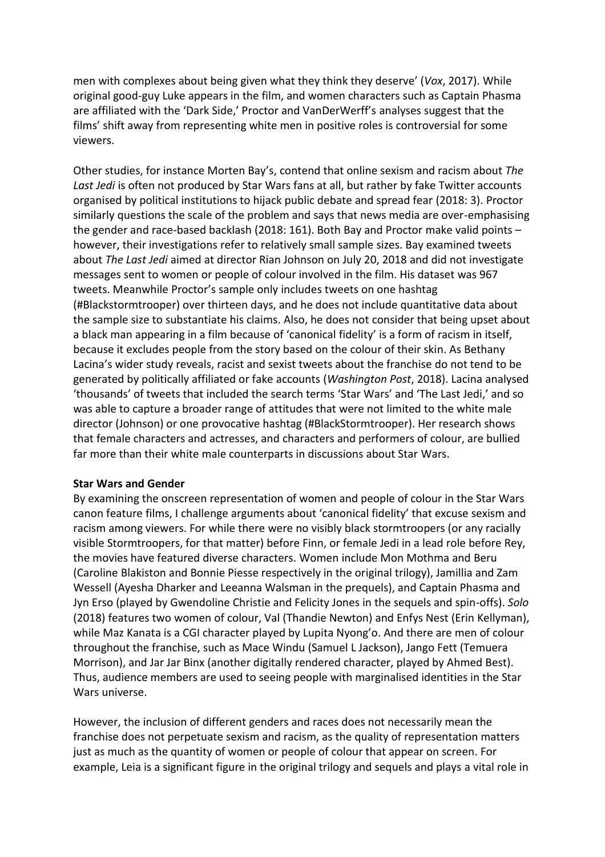men with complexes about being given what they think they deserve' (*Vox*, 2017). While original good-guy Luke appears in the film, and women characters such as Captain Phasma are affiliated with the 'Dark Side,' Proctor and VanDerWerff's analyses suggest that the films' shift away from representing white men in positive roles is controversial for some viewers.

Other studies, for instance Morten Bay's, contend that online sexism and racism about *The*  Last Jedi is often not produced by Star Wars fans at all, but rather by fake Twitter accounts organised by political institutions to hijack public debate and spread fear (2018: 3). Proctor similarly questions the scale of the problem and says that news media are over-emphasising the gender and race-based backlash (2018: 161). Both Bay and Proctor make valid points – however, their investigations refer to relatively small sample sizes. Bay examined tweets about *The Last Jedi* aimed at director Rian Johnson on July 20, 2018 and did not investigate messages sent to women or people of colour involved in the film. His dataset was 967 tweets. Meanwhile Proctor's sample only includes tweets on one hashtag (#Blackstormtrooper) over thirteen days, and he does not include quantitative data about the sample size to substantiate his claims. Also, he does not consider that being upset about a black man appearing in a film because of 'canonical fidelity' is a form of racism in itself, because it excludes people from the story based on the colour of their skin. As Bethany Lacina's wider study reveals, racist and sexist tweets about the franchise do not tend to be generated by politically affiliated or fake accounts (*Washington Post*, 2018). Lacina analysed 'thousands' of tweets that included the search terms 'Star Wars' and 'The Last Jedi,' and so was able to capture a broader range of attitudes that were not limited to the white male director (Johnson) or one provocative hashtag (#BlackStormtrooper). Her research shows that female characters and actresses, and characters and performers of colour, are bullied far more than their white male counterparts in discussions about Star Wars.

#### **Star Wars and Gender**

By examining the onscreen representation of women and people of colour in the Star Wars canon feature films, I challenge arguments about 'canonical fidelity' that excuse sexism and racism among viewers. For while there were no visibly black stormtroopers (or any racially visible Stormtroopers, for that matter) before Finn, or female Jedi in a lead role before Rey, the movies have featured diverse characters. Women include Mon Mothma and Beru (Caroline Blakiston and Bonnie Piesse respectively in the original trilogy), Jamillia and Zam Wessell (Ayesha Dharker and Leeanna Walsman in the prequels), and Captain Phasma and Jyn Erso (played by Gwendoline Christie and Felicity Jones in the sequels and spin-offs). *Solo*  (2018) features two women of colour, Val (Thandie Newton) and Enfys Nest (Erin Kellyman), while Maz Kanata is a CGI character played by Lupita Nyong'o. And there are men of colour throughout the franchise, such as Mace Windu (Samuel L Jackson), Jango Fett (Temuera Morrison), and Jar Jar Binx (another digitally rendered character, played by Ahmed Best). Thus, audience members are used to seeing people with marginalised identities in the Star Wars universe.

However, the inclusion of different genders and races does not necessarily mean the franchise does not perpetuate sexism and racism, as the quality of representation matters just as much as the quantity of women or people of colour that appear on screen. For example, Leia is a significant figure in the original trilogy and sequels and plays a vital role in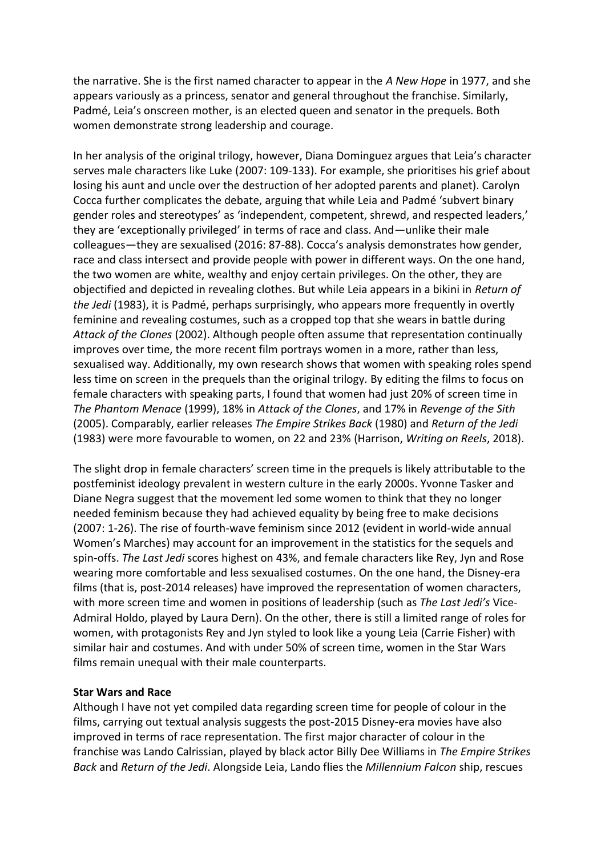the narrative. She is the first named character to appear in the *A New Hope* in 1977, and she appears variously as a princess, senator and general throughout the franchise. Similarly, Padmé, Leia's onscreen mother, is an elected queen and senator in the prequels. Both women demonstrate strong leadership and courage.

In her analysis of the original trilogy, however, Diana Dominguez argues that Leia's character serves male characters like Luke (2007: 109-133). For example, she prioritises his grief about losing his aunt and uncle over the destruction of her adopted parents and planet). Carolyn Cocca further complicates the debate, arguing that while Leia and Padmé 'subvert binary gender roles and stereotypes' as 'independent, competent, shrewd, and respected leaders,' they are 'exceptionally privileged' in terms of race and class. And—unlike their male colleagues—they are sexualised (2016: 87-88). Cocca's analysis demonstrates how gender, race and class intersect and provide people with power in different ways. On the one hand, the two women are white, wealthy and enjoy certain privileges. On the other, they are objectified and depicted in revealing clothes. But while Leia appears in a bikini in *Return of the Jedi* (1983), it is Padmé, perhaps surprisingly, who appears more frequently in overtly feminine and revealing costumes, such as a cropped top that she wears in battle during *Attack of the Clones* (2002). Although people often assume that representation continually improves over time, the more recent film portrays women in a more, rather than less, sexualised way. Additionally, my own research shows that women with speaking roles spend less time on screen in the prequels than the original trilogy. By editing the films to focus on female characters with speaking parts, I found that women had just 20% of screen time in *The Phantom Menace* (1999), 18% in *Attack of the Clones*, and 17% in *Revenge of the Sith* (2005). Comparably, earlier releases *The Empire Strikes Back* (1980) and *Return of the Jedi* (1983) were more favourable to women, on 22 and 23% (Harrison, *Writing on Reels*, 2018).

The slight drop in female characters' screen time in the prequels is likely attributable to the postfeminist ideology prevalent in western culture in the early 2000s. Yvonne Tasker and Diane Negra suggest that the movement led some women to think that they no longer needed feminism because they had achieved equality by being free to make decisions (2007: 1-26). The rise of fourth-wave feminism since 2012 (evident in world-wide annual Women's Marches) may account for an improvement in the statistics for the sequels and spin-offs. *The Last Jedi* scores highest on 43%, and female characters like Rey, Jyn and Rose wearing more comfortable and less sexualised costumes. On the one hand, the Disney-era films (that is, post-2014 releases) have improved the representation of women characters, with more screen time and women in positions of leadership (such as *The Last Jedi's* Vice-Admiral Holdo, played by Laura Dern). On the other, there is still a limited range of roles for women, with protagonists Rey and Jyn styled to look like a young Leia (Carrie Fisher) with similar hair and costumes. And with under 50% of screen time, women in the Star Wars films remain unequal with their male counterparts.

## **Star Wars and Race**

Although I have not yet compiled data regarding screen time for people of colour in the films, carrying out textual analysis suggests the post-2015 Disney-era movies have also improved in terms of race representation. The first major character of colour in the franchise was Lando Calrissian, played by black actor Billy Dee Williams in *The Empire Strikes Back* and *Return of the Jedi*. Alongside Leia, Lando flies the *Millennium Falcon* ship, rescues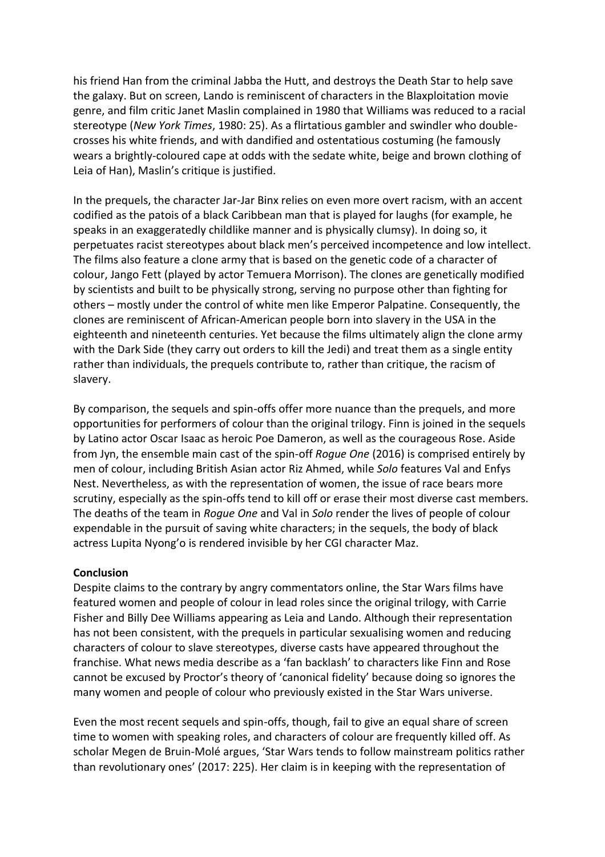his friend Han from the criminal Jabba the Hutt, and destroys the Death Star to help save the galaxy. But on screen, Lando is reminiscent of characters in the Blaxploitation movie genre, and film critic Janet Maslin complained in 1980 that Williams was reduced to a racial stereotype (*New York Times*, 1980: 25). As a flirtatious gambler and swindler who doublecrosses his white friends, and with dandified and ostentatious costuming (he famously wears a brightly-coloured cape at odds with the sedate white, beige and brown clothing of Leia of Han), Maslin's critique is justified.

In the prequels, the character Jar-Jar Binx relies on even more overt racism, with an accent codified as the patois of a black Caribbean man that is played for laughs (for example, he speaks in an exaggeratedly childlike manner and is physically clumsy). In doing so, it perpetuates racist stereotypes about black men's perceived incompetence and low intellect. The films also feature a clone army that is based on the genetic code of a character of colour, Jango Fett (played by actor Temuera Morrison). The clones are genetically modified by scientists and built to be physically strong, serving no purpose other than fighting for others – mostly under the control of white men like Emperor Palpatine. Consequently, the clones are reminiscent of African-American people born into slavery in the USA in the eighteenth and nineteenth centuries. Yet because the films ultimately align the clone army with the Dark Side (they carry out orders to kill the Jedi) and treat them as a single entity rather than individuals, the prequels contribute to, rather than critique, the racism of slavery.

By comparison, the sequels and spin-offs offer more nuance than the prequels, and more opportunities for performers of colour than the original trilogy. Finn is joined in the sequels by Latino actor Oscar Isaac as heroic Poe Dameron, as well as the courageous Rose. Aside from Jyn, the ensemble main cast of the spin-off *Rogue One* (2016) is comprised entirely by men of colour, including British Asian actor Riz Ahmed, while *Solo* features Val and Enfys Nest. Nevertheless, as with the representation of women, the issue of race bears more scrutiny, especially as the spin-offs tend to kill off or erase their most diverse cast members. The deaths of the team in *Rogue One* and Val in *Solo* render the lives of people of colour expendable in the pursuit of saving white characters; in the sequels, the body of black actress Lupita Nyong'o is rendered invisible by her CGI character Maz.

#### **Conclusion**

Despite claims to the contrary by angry commentators online, the Star Wars films have featured women and people of colour in lead roles since the original trilogy, with Carrie Fisher and Billy Dee Williams appearing as Leia and Lando. Although their representation has not been consistent, with the prequels in particular sexualising women and reducing characters of colour to slave stereotypes, diverse casts have appeared throughout the franchise. What news media describe as a 'fan backlash' to characters like Finn and Rose cannot be excused by Proctor's theory of 'canonical fidelity' because doing so ignores the many women and people of colour who previously existed in the Star Wars universe.

Even the most recent sequels and spin-offs, though, fail to give an equal share of screen time to women with speaking roles, and characters of colour are frequently killed off. As scholar Megen de Bruin-Molé argues, 'Star Wars tends to follow mainstream politics rather than revolutionary ones' (2017: 225). Her claim is in keeping with the representation of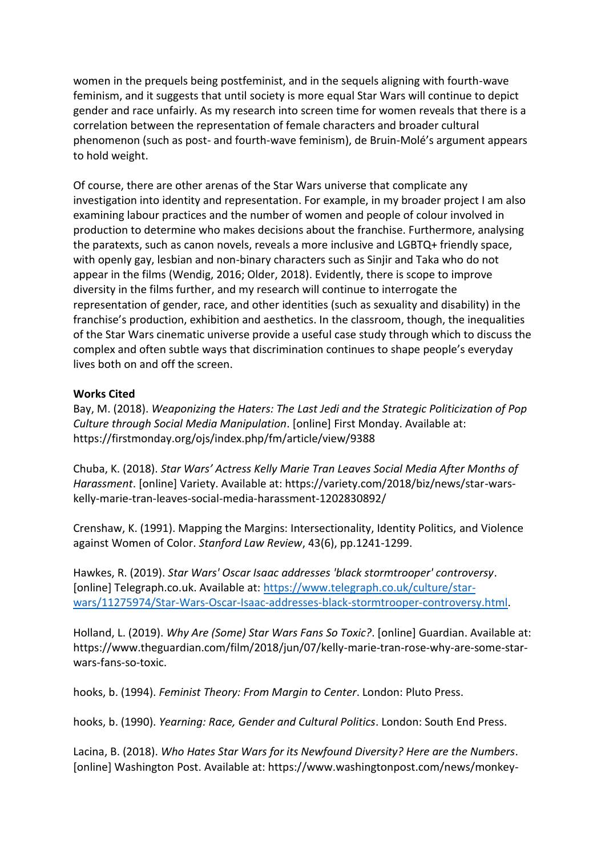women in the prequels being postfeminist, and in the sequels aligning with fourth-wave feminism, and it suggests that until society is more equal Star Wars will continue to depict gender and race unfairly. As my research into screen time for women reveals that there is a correlation between the representation of female characters and broader cultural phenomenon (such as post- and fourth-wave feminism), de Bruin-Molé's argument appears to hold weight.

Of course, there are other arenas of the Star Wars universe that complicate any investigation into identity and representation. For example, in my broader project I am also examining labour practices and the number of women and people of colour involved in production to determine who makes decisions about the franchise. Furthermore, analysing the paratexts, such as canon novels, reveals a more inclusive and LGBTQ+ friendly space, with openly gay, lesbian and non-binary characters such as Sinjir and Taka who do not appear in the films (Wendig, 2016; Older, 2018). Evidently, there is scope to improve diversity in the films further, and my research will continue to interrogate the representation of gender, race, and other identities (such as sexuality and disability) in the franchise's production, exhibition and aesthetics. In the classroom, though, the inequalities of the Star Wars cinematic universe provide a useful case study through which to discuss the complex and often subtle ways that discrimination continues to shape people's everyday lives both on and off the screen.

### **Works Cited**

Bay, M. (2018). *Weaponizing the Haters: The Last Jedi and the Strategic Politicization of Pop Culture through Social Media Manipulation*. [online] First Monday. Available at: https://firstmonday.org/ojs/index.php/fm/article/view/9388

Chuba, K. (2018). *Star Wars' Actress Kelly Marie Tran Leaves Social Media After Months of Harassment*. [online] Variety. Available at: https://variety.com/2018/biz/news/star-warskelly-marie-tran-leaves-social-media-harassment-1202830892/

Crenshaw, K. (1991). Mapping the Margins: Intersectionality, Identity Politics, and Violence against Women of Color. *Stanford Law Review*, 43(6), pp.1241-1299.

Hawkes, R. (2019). *Star Wars' Oscar Isaac addresses 'black stormtrooper' controversy*. [online] Telegraph.co.uk. Available at: [https://www.telegraph.co.uk/culture/star](https://www.telegraph.co.uk/culture/star-wars/11275974/Star-Wars-Oscar-Isaac-addresses-black-stormtrooper-controversy.html)[wars/11275974/Star-Wars-Oscar-Isaac-addresses-black-stormtrooper-controversy.html.](https://www.telegraph.co.uk/culture/star-wars/11275974/Star-Wars-Oscar-Isaac-addresses-black-stormtrooper-controversy.html)

Holland, L. (2019). *Why Are (Some) Star Wars Fans So Toxic?*. [online] Guardian. Available at: https://www.theguardian.com/film/2018/jun/07/kelly-marie-tran-rose-why-are-some-starwars-fans-so-toxic.

hooks, b. (1994). *Feminist Theory: From Margin to Center*. London: Pluto Press.

hooks, b. (1990). *Yearning: Race, Gender and Cultural Politics*. London: South End Press.

Lacina, B. (2018). *Who Hates Star Wars for its Newfound Diversity? Here are the Numbers*. [online] Washington Post. Available at: https://www.washingtonpost.com/news/monkey